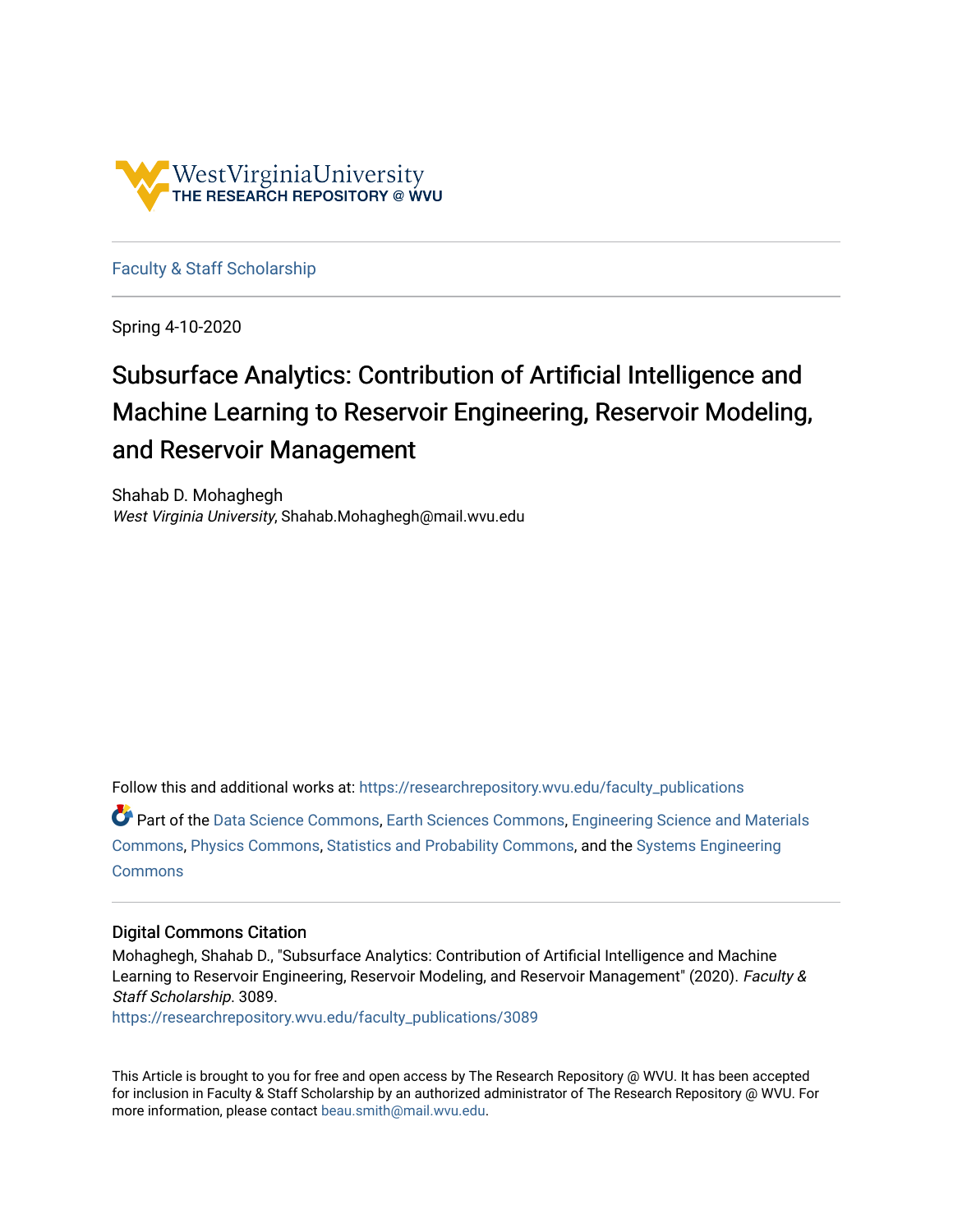

[Faculty & Staff Scholarship](https://researchrepository.wvu.edu/faculty_publications)

Spring 4-10-2020

# Subsurface Analytics: Contribution of Artificial Intelligence and Machine Learning to Reservoir Engineering, Reservoir Modeling, and Reservoir Management

Shahab D. Mohaghegh West Virginia University, Shahab.Mohaghegh@mail.wvu.edu

Follow this and additional works at: [https://researchrepository.wvu.edu/faculty\\_publications](https://researchrepository.wvu.edu/faculty_publications?utm_source=researchrepository.wvu.edu%2Ffaculty_publications%2F3089&utm_medium=PDF&utm_campaign=PDFCoverPages)

Part of the [Data Science Commons,](http://network.bepress.com/hgg/discipline/1429?utm_source=researchrepository.wvu.edu%2Ffaculty_publications%2F3089&utm_medium=PDF&utm_campaign=PDFCoverPages) [Earth Sciences Commons](http://network.bepress.com/hgg/discipline/153?utm_source=researchrepository.wvu.edu%2Ffaculty_publications%2F3089&utm_medium=PDF&utm_campaign=PDFCoverPages), [Engineering Science and Materials](http://network.bepress.com/hgg/discipline/279?utm_source=researchrepository.wvu.edu%2Ffaculty_publications%2F3089&utm_medium=PDF&utm_campaign=PDFCoverPages) [Commons](http://network.bepress.com/hgg/discipline/279?utm_source=researchrepository.wvu.edu%2Ffaculty_publications%2F3089&utm_medium=PDF&utm_campaign=PDFCoverPages), [Physics Commons,](http://network.bepress.com/hgg/discipline/193?utm_source=researchrepository.wvu.edu%2Ffaculty_publications%2F3089&utm_medium=PDF&utm_campaign=PDFCoverPages) [Statistics and Probability Commons](http://network.bepress.com/hgg/discipline/208?utm_source=researchrepository.wvu.edu%2Ffaculty_publications%2F3089&utm_medium=PDF&utm_campaign=PDFCoverPages), and the [Systems Engineering](http://network.bepress.com/hgg/discipline/309?utm_source=researchrepository.wvu.edu%2Ffaculty_publications%2F3089&utm_medium=PDF&utm_campaign=PDFCoverPages) **[Commons](http://network.bepress.com/hgg/discipline/309?utm_source=researchrepository.wvu.edu%2Ffaculty_publications%2F3089&utm_medium=PDF&utm_campaign=PDFCoverPages)** 

## Digital Commons Citation

Mohaghegh, Shahab D., "Subsurface Analytics: Contribution of Artificial Intelligence and Machine Learning to Reservoir Engineering, Reservoir Modeling, and Reservoir Management" (2020). Faculty & Staff Scholarship. 3089.

[https://researchrepository.wvu.edu/faculty\\_publications/3089](https://researchrepository.wvu.edu/faculty_publications/3089?utm_source=researchrepository.wvu.edu%2Ffaculty_publications%2F3089&utm_medium=PDF&utm_campaign=PDFCoverPages) 

This Article is brought to you for free and open access by The Research Repository @ WVU. It has been accepted for inclusion in Faculty & Staff Scholarship by an authorized administrator of The Research Repository @ WVU. For more information, please contact [beau.smith@mail.wvu.edu](mailto:beau.smith@mail.wvu.edu).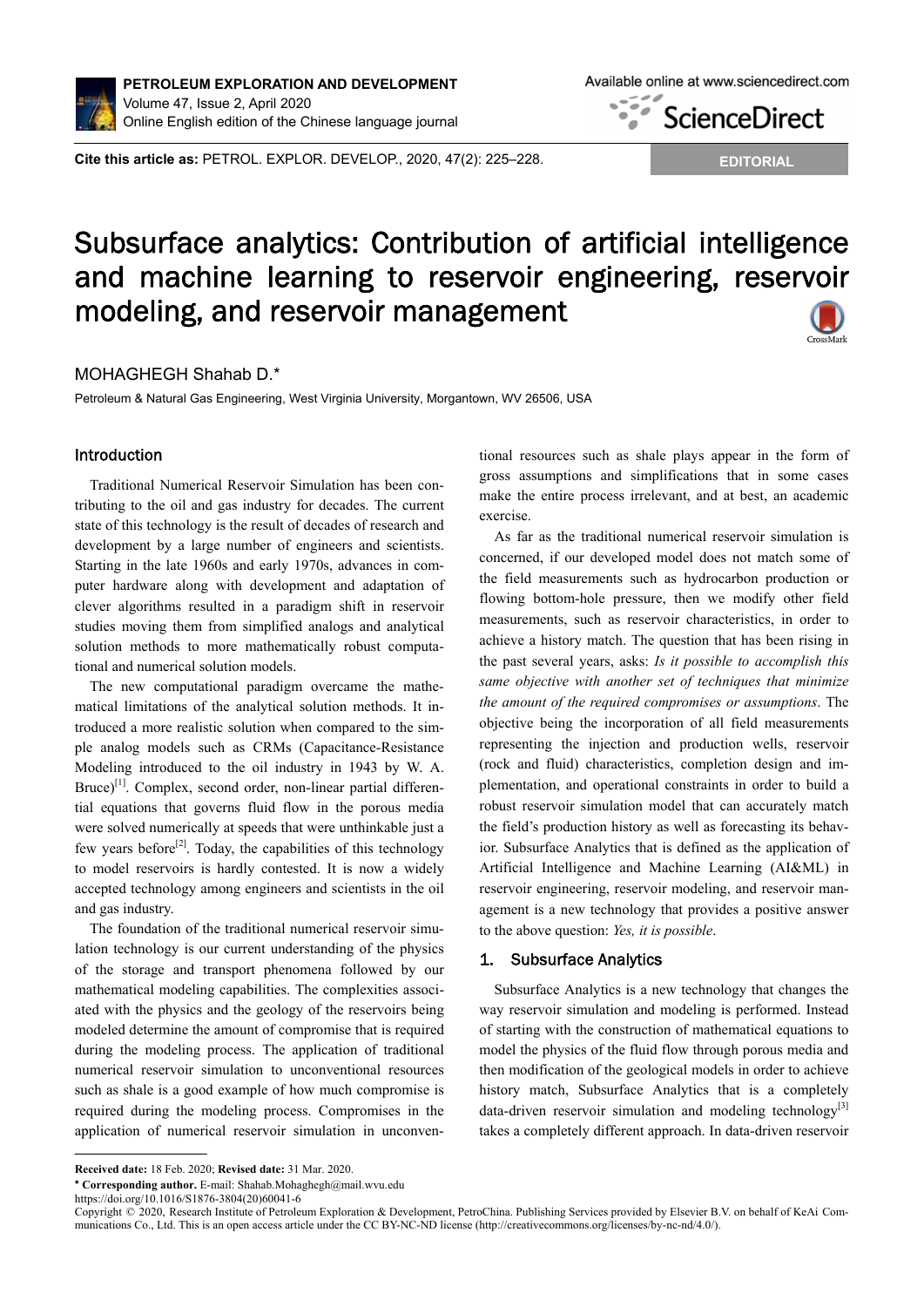

**PETROLEUM EXPLORATION AND DEVELOPMENT**  Volume 47, Issue 2, April 2020 Online English edition of the Chinese language journal

ScienceDirect

**Cite this article as:** PETROL. EXPLOR. DEVELOP., 2020, 47(2): 225–228.

#### **EDITORIAL**

# Subsurface analytics: Contribution of artificial intelligence and machine learning to reservoir engineering, reservoir modeling, and reservoir management



## MOHAGHEGH Shahab D.\*

Petroleum & Natural Gas Engineering, West Virginia University, Morgantown, WV 26506, USA

### Introduction

Traditional Numerical Reservoir Simulation has been contributing to the oil and gas industry for decades. The current state of this technology is the result of decades of research and development by a large number of engineers and scientists. Starting in the late 1960s and early 1970s, advances in computer hardware along with development and adaptation of clever algorithms resulted in a paradigm shift in reservoir studies moving them from simplified analogs and analytical solution methods to more mathematically robust computational and numerical solution models.

The new computational paradigm overcame the mathematical limitations of the analytical solution methods. It introduced a more realistic solution when compared to the simple analog models such as CRMs (Capacitance-Resistance Modeling introduced to the oil industry in 1943 by W. A. Bruce) $[1]$ . Complex, second order, non-linear partial differential equations that governs fluid flow in the porous media were solved numerically at speeds that were unthinkable just a few years before<sup>[2]</sup>. Today, the capabilities of this technology to model reservoirs is hardly contested. It is now a widely accepted technology among engineers and scientists in the oil and gas industry.

The foundation of the traditional numerical reservoir simulation technology is our current understanding of the physics of the storage and transport phenomena followed by our mathematical modeling capabilities. The complexities associated with the physics and the geology of the reservoirs being modeled determine the amount of compromise that is required during the modeling process. The application of traditional numerical reservoir simulation to unconventional resources such as shale is a good example of how much compromise is required during the modeling process. Compromises in the application of numerical reservoir simulation in unconven-

tional resources such as shale plays appear in the form of gross assumptions and simplifications that in some cases make the entire process irrelevant, and at best, an academic exercise.

As far as the traditional numerical reservoir simulation is concerned, if our developed model does not match some of the field measurements such as hydrocarbon production or flowing bottom-hole pressure, then we modify other field measurements, such as reservoir characteristics, in order to achieve a history match. The question that has been rising in the past several years, asks: *Is it possible to accomplish this same objective with another set of techniques that minimize the amount of the required compromises or assumptions*. The objective being the incorporation of all field measurements representing the injection and production wells, reservoir (rock and fluid) characteristics, completion design and implementation, and operational constraints in order to build a robust reservoir simulation model that can accurately match the field's production history as well as forecasting its behavior. Subsurface Analytics that is defined as the application of Artificial Intelligence and Machine Learning (AI&ML) in reservoir engineering, reservoir modeling, and reservoir management is a new technology that provides a positive answer to the above question: *Yes, it is possible*.

#### 1. Subsurface Analytics

Subsurface Analytics is a new technology that changes the way reservoir simulation and modeling is performed. Instead of starting with the construction of mathematical equations to model the physics of the fluid flow through porous media and then modification of the geological models in order to achieve history match, Subsurface Analytics that is a completely data-driven reservoir simulation and modeling technology<sup>[3]</sup> takes a completely different approach. In data-driven reservoir

**\* Corresponding author.** E-mail: Shahab.Mohaghegh@mail.wvu.edu

https://doi.org/10.1016/S1876-3804(20)60041-6

**Received date:** 18 Feb. 2020; **Revised date:** 31 Mar. 2020.

Copyright © 2020, Research Institute of Petroleum Exploration & Development, PetroChina. Publishing Services provided by Elsevier B.V. on behalf of KeAi Communications Co., Ltd. This is an open access article under the CC BY-NC-ND license (http://creativecommons.org/licenses/by-nc-nd/4.0/).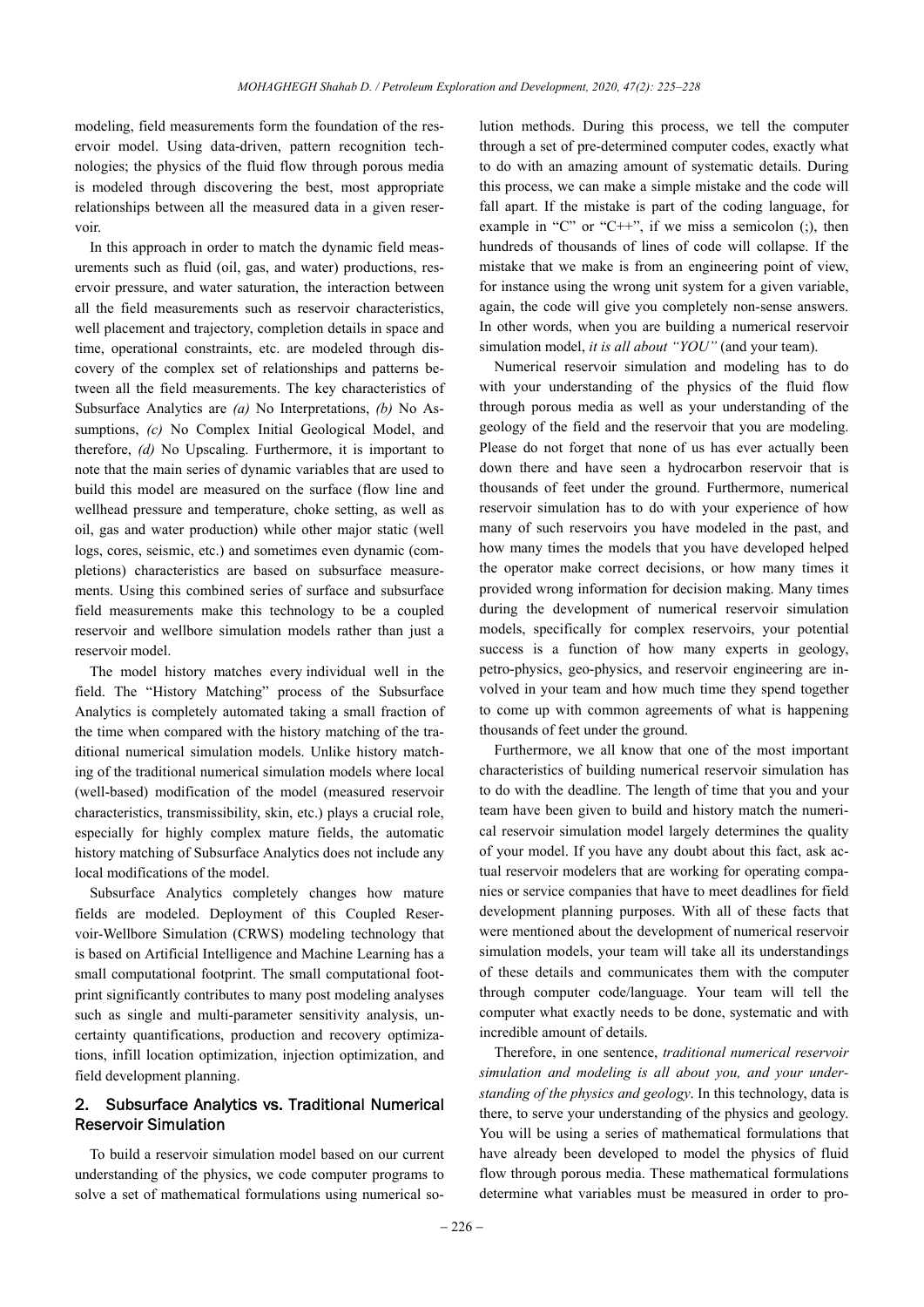modeling, field measurements form the foundation of the reservoir model. Using data-driven, pattern recognition technologies; the physics of the fluid flow through porous media is modeled through discovering the best, most appropriate relationships between all the measured data in a given reservoir.

In this approach in order to match the dynamic field measurements such as fluid (oil, gas, and water) productions, reservoir pressure, and water saturation, the interaction between all the field measurements such as reservoir characteristics, well placement and trajectory, completion details in space and time, operational constraints, etc. are modeled through discovery of the complex set of relationships and patterns between all the field measurements. The key characteristics of Subsurface Analytics are *(a)* No Interpretations, *(b)* No Assumptions, *(c)* No Complex Initial Geological Model, and therefore, *(d)* No Upscaling. Furthermore, it is important to note that the main series of dynamic variables that are used to build this model are measured on the surface (flow line and wellhead pressure and temperature, choke setting, as well as oil, gas and water production) while other major static (well logs, cores, seismic, etc.) and sometimes even dynamic (completions) characteristics are based on subsurface measurements. Using this combined series of surface and subsurface field measurements make this technology to be a coupled reservoir and wellbore simulation models rather than just a reservoir model.

The model history matches every individual well in the field. The "History Matching" process of the Subsurface Analytics is completely automated taking a small fraction of the time when compared with the history matching of the traditional numerical simulation models. Unlike history matching of the traditional numerical simulation models where local (well-based) modification of the model (measured reservoir characteristics, transmissibility, skin, etc.) plays a crucial role, especially for highly complex mature fields, the automatic history matching of Subsurface Analytics does not include any local modifications of the model.

Subsurface Analytics completely changes how mature fields are modeled. Deployment of this Coupled Reservoir-Wellbore Simulation (CRWS) modeling technology that is based on Artificial Intelligence and Machine Learning has a small computational footprint. The small computational footprint significantly contributes to many post modeling analyses such as single and multi-parameter sensitivity analysis, uncertainty quantifications, production and recovery optimizations, infill location optimization, injection optimization, and field development planning.

## 2. Subsurface Analytics vs. Traditional Numerical Reservoir Simulation

To build a reservoir simulation model based on our current understanding of the physics, we code computer programs to solve a set of mathematical formulations using numerical so-

lution methods. During this process, we tell the computer through a set of pre-determined computer codes, exactly what to do with an amazing amount of systematic details. During this process, we can make a simple mistake and the code will fall apart. If the mistake is part of the coding language, for example in "C" or "C++", if we miss a semicolon (;), then hundreds of thousands of lines of code will collapse. If the mistake that we make is from an engineering point of view, for instance using the wrong unit system for a given variable, again, the code will give you completely non-sense answers. In other words, when you are building a numerical reservoir simulation model, *it is all about "YOU"* (and your team).

Numerical reservoir simulation and modeling has to do with your understanding of the physics of the fluid flow through porous media as well as your understanding of the geology of the field and the reservoir that you are modeling. Please do not forget that none of us has ever actually been down there and have seen a hydrocarbon reservoir that is thousands of feet under the ground. Furthermore, numerical reservoir simulation has to do with your experience of how many of such reservoirs you have modeled in the past, and how many times the models that you have developed helped the operator make correct decisions, or how many times it provided wrong information for decision making. Many times during the development of numerical reservoir simulation models, specifically for complex reservoirs, your potential success is a function of how many experts in geology, petro-physics, geo-physics, and reservoir engineering are involved in your team and how much time they spend together to come up with common agreements of what is happening thousands of feet under the ground.

Furthermore, we all know that one of the most important characteristics of building numerical reservoir simulation has to do with the deadline. The length of time that you and your team have been given to build and history match the numerical reservoir simulation model largely determines the quality of your model. If you have any doubt about this fact, ask actual reservoir modelers that are working for operating companies or service companies that have to meet deadlines for field development planning purposes. With all of these facts that were mentioned about the development of numerical reservoir simulation models, your team will take all its understandings of these details and communicates them with the computer through computer code/language. Your team will tell the computer what exactly needs to be done, systematic and with incredible amount of details.

Therefore, in one sentence, *traditional numerical reservoir simulation and modeling is all about you, and your understanding of the physics and geology*. In this technology, data is there, to serve your understanding of the physics and geology. You will be using a series of mathematical formulations that have already been developed to model the physics of fluid flow through porous media. These mathematical formulations determine what variables must be measured in order to pro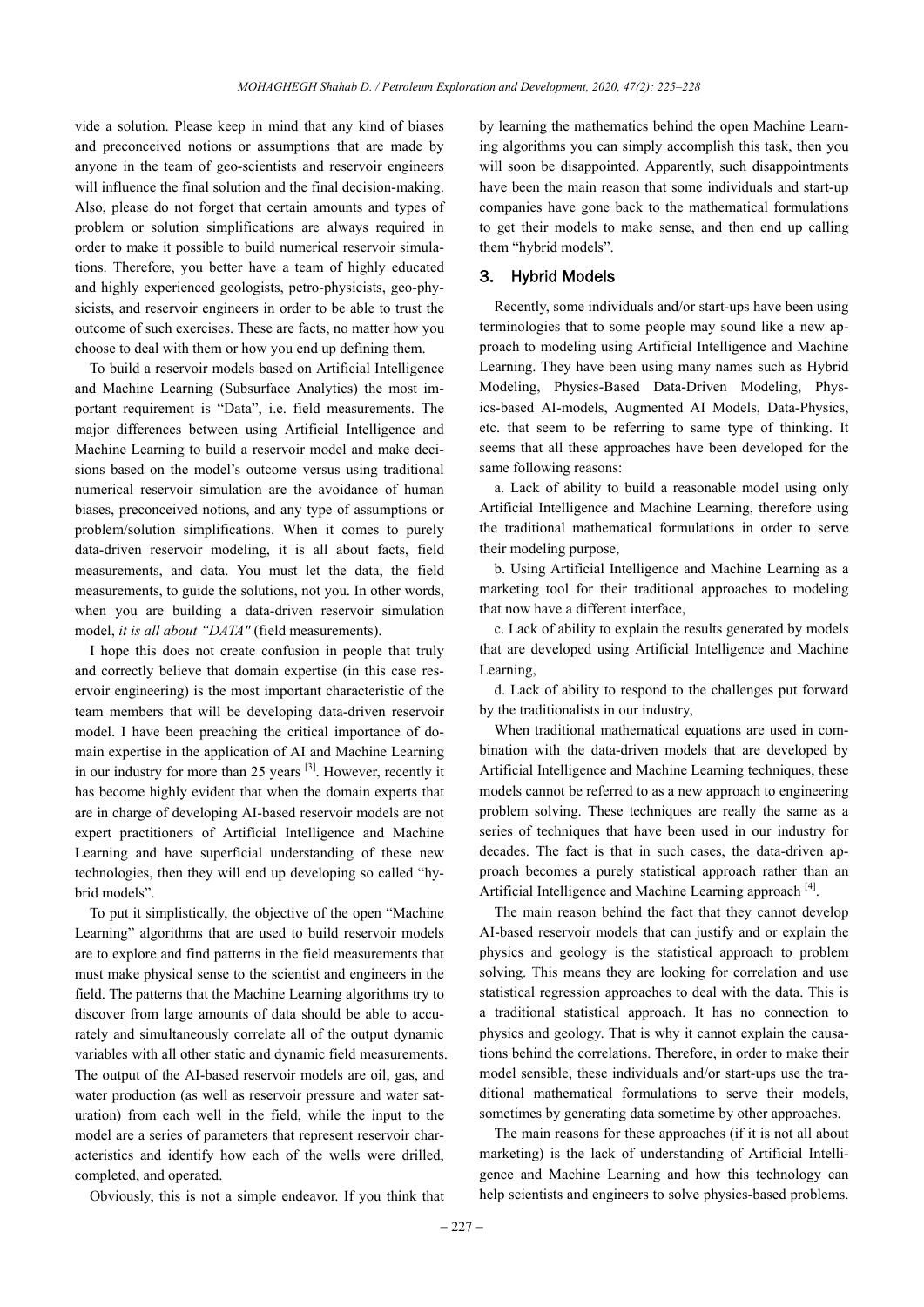vide a solution. Please keep in mind that any kind of biases and preconceived notions or assumptions that are made by anyone in the team of geo-scientists and reservoir engineers will influence the final solution and the final decision-making. Also, please do not forget that certain amounts and types of problem or solution simplifications are always required in order to make it possible to build numerical reservoir simulations. Therefore, you better have a team of highly educated and highly experienced geologists, petro-physicists, geo-physicists, and reservoir engineers in order to be able to trust the outcome of such exercises. These are facts, no matter how you choose to deal with them or how you end up defining them.

To build a reservoir models based on Artificial Intelligence and Machine Learning (Subsurface Analytics) the most important requirement is "Data", i.e. field measurements. The major differences between using Artificial Intelligence and Machine Learning to build a reservoir model and make decisions based on the model's outcome versus using traditional numerical reservoir simulation are the avoidance of human biases, preconceived notions, and any type of assumptions or problem/solution simplifications. When it comes to purely data-driven reservoir modeling, it is all about facts, field measurements, and data. You must let the data, the field measurements, to guide the solutions, not you. In other words, when you are building a data-driven reservoir simulation model, *it is all about "DATA"* (field measurements).

I hope this does not create confusion in people that truly and correctly believe that domain expertise (in this case reservoir engineering) is the most important characteristic of the team members that will be developing data-driven reservoir model. I have been preaching the critical importance of domain expertise in the application of AI and Machine Learning in our industry for more than 25 years [3]. However, recently it has become highly evident that when the domain experts that are in charge of developing AI-based reservoir models are not expert practitioners of Artificial Intelligence and Machine Learning and have superficial understanding of these new technologies, then they will end up developing so called "hybrid models".

To put it simplistically, the objective of the open "Machine Learning" algorithms that are used to build reservoir models are to explore and find patterns in the field measurements that must make physical sense to the scientist and engineers in the field. The patterns that the Machine Learning algorithms try to discover from large amounts of data should be able to accurately and simultaneously correlate all of the output dynamic variables with all other static and dynamic field measurements. The output of the AI-based reservoir models are oil, gas, and water production (as well as reservoir pressure and water saturation) from each well in the field, while the input to the model are a series of parameters that represent reservoir characteristics and identify how each of the wells were drilled, completed, and operated.

Obviously, this is not a simple endeavor. If you think that

by learning the mathematics behind the open Machine Learning algorithms you can simply accomplish this task, then you will soon be disappointed. Apparently, such disappointments have been the main reason that some individuals and start-up companies have gone back to the mathematical formulations to get their models to make sense, and then end up calling them "hybrid models".

#### 3. Hybrid Models

Recently, some individuals and/or start-ups have been using terminologies that to some people may sound like a new approach to modeling using Artificial Intelligence and Machine Learning. They have been using many names such as Hybrid Modeling, Physics-Based Data-Driven Modeling, Physics-based AI-models, Augmented AI Models, Data-Physics, etc. that seem to be referring to same type of thinking. It seems that all these approaches have been developed for the same following reasons:

a. Lack of ability to build a reasonable model using only Artificial Intelligence and Machine Learning, therefore using the traditional mathematical formulations in order to serve their modeling purpose,

b. Using Artificial Intelligence and Machine Learning as a marketing tool for their traditional approaches to modeling that now have a different interface,

c. Lack of ability to explain the results generated by models that are developed using Artificial Intelligence and Machine Learning,

d. Lack of ability to respond to the challenges put forward by the traditionalists in our industry,

When traditional mathematical equations are used in combination with the data-driven models that are developed by Artificial Intelligence and Machine Learning techniques, these models cannot be referred to as a new approach to engineering problem solving. These techniques are really the same as a series of techniques that have been used in our industry for decades. The fact is that in such cases, the data-driven approach becomes a purely statistical approach rather than an Artificial Intelligence and Machine Learning approach [4].

The main reason behind the fact that they cannot develop AI-based reservoir models that can justify and or explain the physics and geology is the statistical approach to problem solving. This means they are looking for correlation and use statistical regression approaches to deal with the data. This is a traditional statistical approach. It has no connection to physics and geology. That is why it cannot explain the causations behind the correlations. Therefore, in order to make their model sensible, these individuals and/or start-ups use the traditional mathematical formulations to serve their models, sometimes by generating data sometime by other approaches.

The main reasons for these approaches (if it is not all about marketing) is the lack of understanding of Artificial Intelligence and Machine Learning and how this technology can help scientists and engineers to solve physics-based problems.